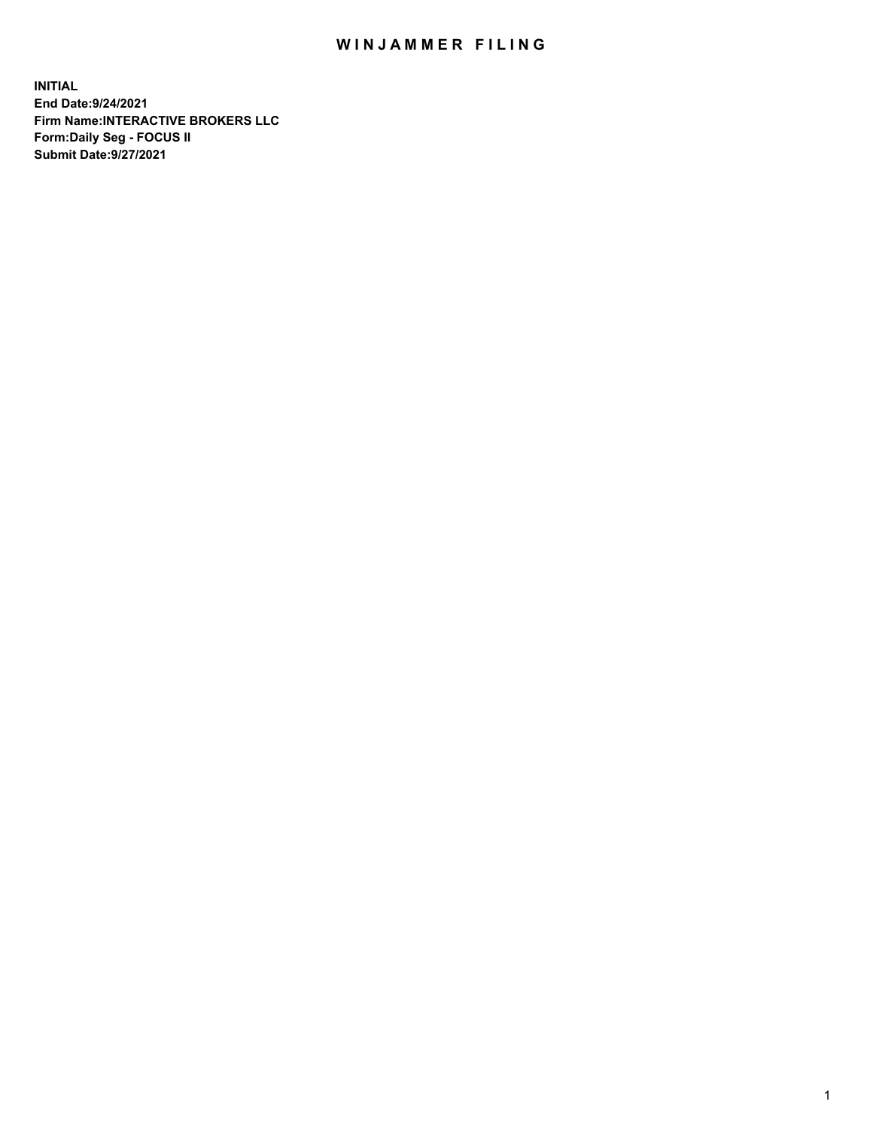## WIN JAMMER FILING

**INITIAL End Date:9/24/2021 Firm Name:INTERACTIVE BROKERS LLC Form:Daily Seg - FOCUS II Submit Date:9/27/2021**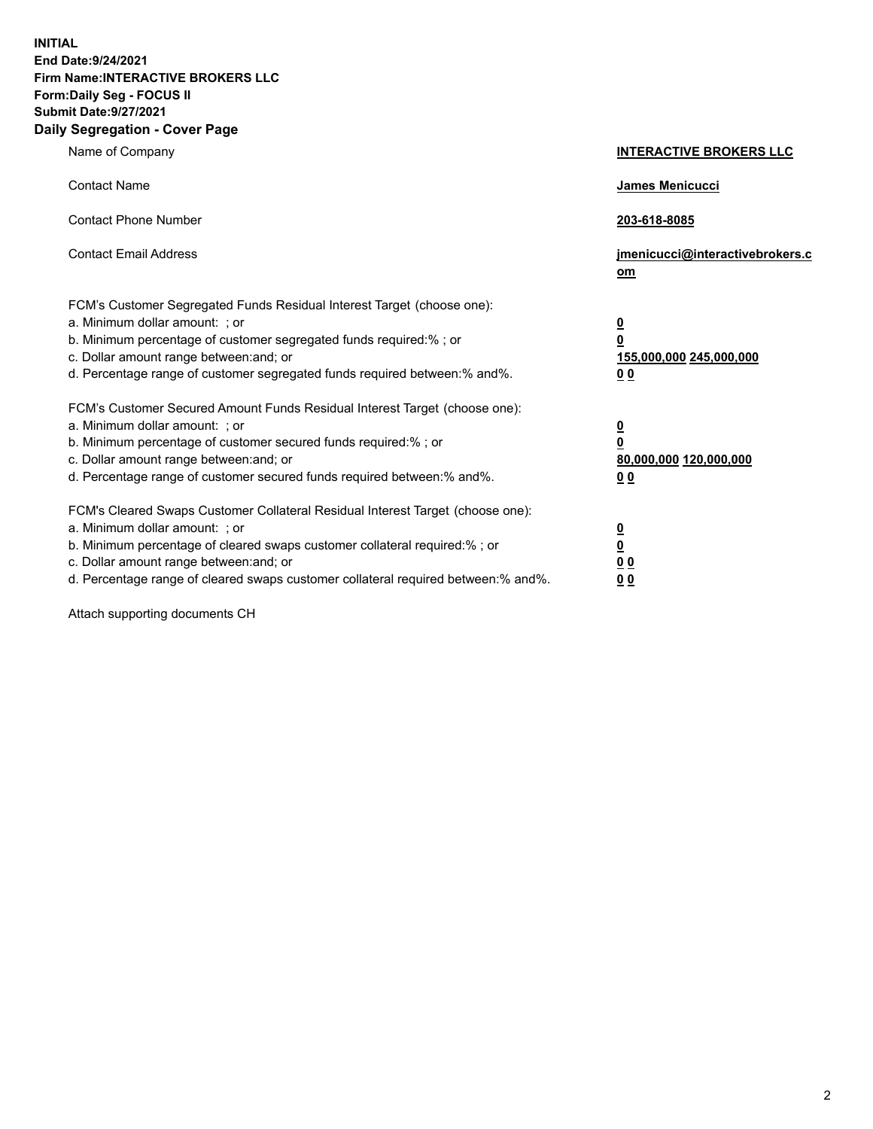**INITIAL End Date:9/24/2021 Firm Name:INTERACTIVE BROKERS LLC Form:Daily Seg - FOCUS II Submit Date:9/27/2021 Daily Segregation - Cover Page**

| Name of Company                                                                                                                                                                                                                                                                                                               | <b>INTERACTIVE BROKERS LLC</b>                                                                  |  |
|-------------------------------------------------------------------------------------------------------------------------------------------------------------------------------------------------------------------------------------------------------------------------------------------------------------------------------|-------------------------------------------------------------------------------------------------|--|
| <b>Contact Name</b>                                                                                                                                                                                                                                                                                                           | James Menicucci                                                                                 |  |
| <b>Contact Phone Number</b>                                                                                                                                                                                                                                                                                                   | 203-618-8085                                                                                    |  |
| <b>Contact Email Address</b>                                                                                                                                                                                                                                                                                                  | jmenicucci@interactivebrokers.c<br>om                                                           |  |
| FCM's Customer Segregated Funds Residual Interest Target (choose one):<br>a. Minimum dollar amount: ; or<br>b. Minimum percentage of customer segregated funds required:% ; or<br>c. Dollar amount range between: and; or<br>d. Percentage range of customer segregated funds required between:% and%.                        | $\overline{\mathbf{0}}$<br>$\overline{\mathbf{0}}$<br>155,000,000 245,000,000<br>0 <sub>0</sub> |  |
| FCM's Customer Secured Amount Funds Residual Interest Target (choose one):<br>a. Minimum dollar amount: ; or<br>b. Minimum percentage of customer secured funds required:% ; or<br>c. Dollar amount range between: and; or<br>d. Percentage range of customer secured funds required between:% and%.                          | <u>0</u><br>$\overline{\mathbf{0}}$<br>80,000,000 120,000,000<br>0 <sub>0</sub>                 |  |
| FCM's Cleared Swaps Customer Collateral Residual Interest Target (choose one):<br>a. Minimum dollar amount: ; or<br>b. Minimum percentage of cleared swaps customer collateral required:%; or<br>c. Dollar amount range between: and; or<br>d. Percentage range of cleared swaps customer collateral required between:% and%. | $\overline{\mathbf{0}}$<br>$\underline{\mathbf{0}}$<br>$\underline{0}$ $\underline{0}$<br>00    |  |

Attach supporting documents CH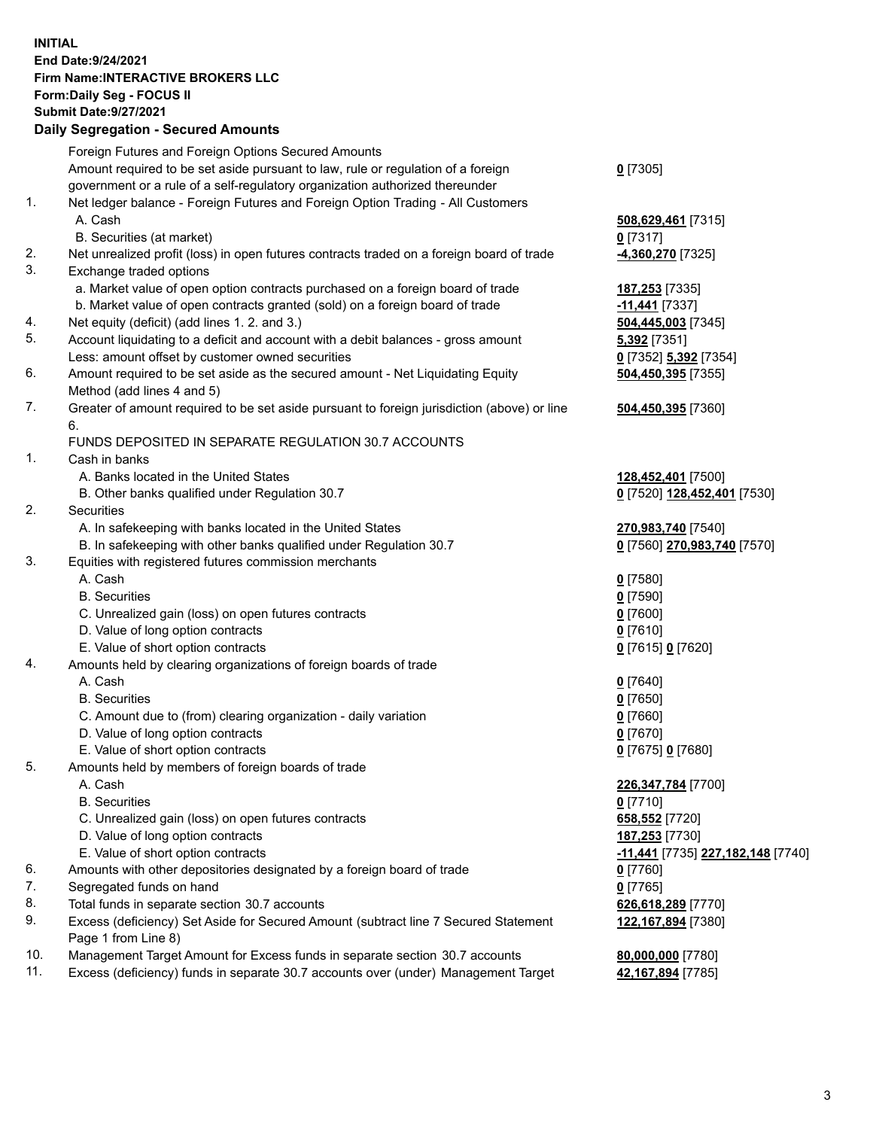**INITIAL End Date:9/24/2021 Firm Name:INTERACTIVE BROKERS LLC Form:Daily Seg - FOCUS II Submit Date:9/27/2021 Daily Segregation - Secured Amounts**

## Foreign Futures and Foreign Options Secured Amounts Amount required to be set aside pursuant to law, rule or regulation of a foreign government or a rule of a self-regulatory organization authorized thereunder **0** [7305] 1. Net ledger balance - Foreign Futures and Foreign Option Trading - All Customers A. Cash **508,629,461** [7315] B. Securities (at market) **0** [7317] 2. Net unrealized profit (loss) in open futures contracts traded on a foreign board of trade **-4,360,270** [7325] 3. Exchange traded options a. Market value of open option contracts purchased on a foreign board of trade **187,253** [7335] b. Market value of open contracts granted (sold) on a foreign board of trade **-11,441** [7337] 4. Net equity (deficit) (add lines 1. 2. and 3.) **504,445,003** [7345] 5. Account liquidating to a deficit and account with a debit balances - gross amount **5,392** [7351] Less: amount offset by customer owned securities **0** [7352] **5,392** [7354] 6. Amount required to be set aside as the secured amount - Net Liquidating Equity Method (add lines 4 and 5) **504,450,395** [7355] 7. Greater of amount required to be set aside pursuant to foreign jurisdiction (above) or line 6. **504,450,395** [7360] FUNDS DEPOSITED IN SEPARATE REGULATION 30.7 ACCOUNTS 1. Cash in banks A. Banks located in the United States **128,452,401** [7500] B. Other banks qualified under Regulation 30.7 **0** [7520] **128,452,401** [7530] 2. Securities A. In safekeeping with banks located in the United States **270,983,740** [7540] B. In safekeeping with other banks qualified under Regulation 30.7 **0** [7560] **270,983,740** [7570] 3. Equities with registered futures commission merchants A. Cash **0** [7580] B. Securities **0** [7590] C. Unrealized gain (loss) on open futures contracts **0** [7600] D. Value of long option contracts **0** [7610] E. Value of short option contracts **0** [7615] **0** [7620] 4. Amounts held by clearing organizations of foreign boards of trade A. Cash **0** [7640] B. Securities **0** [7650] C. Amount due to (from) clearing organization - daily variation **0** [7660] D. Value of long option contracts **0** [7670] E. Value of short option contracts **0** [7675] **0** [7680] 5. Amounts held by members of foreign boards of trade A. Cash **226,347,784** [7700] B. Securities **0** [7710] C. Unrealized gain (loss) on open futures contracts **658,552** [7720] D. Value of long option contracts **187,253** [7730] E. Value of short option contracts **-11,441** [7735] **227,182,148** [7740] 6. Amounts with other depositories designated by a foreign board of trade **0** [7760] 7. Segregated funds on hand **0** [7765] 8. Total funds in separate section 30.7 accounts **626,618,289** [7770] 9. Excess (deficiency) Set Aside for Secured Amount (subtract line 7 Secured Statement Page 1 from Line 8) **122,167,894** [7380] 10. Management Target Amount for Excess funds in separate section 30.7 accounts **80,000,000** [7780] 11. Excess (deficiency) funds in separate 30.7 accounts over (under) Management Target **42,167,894** [7785]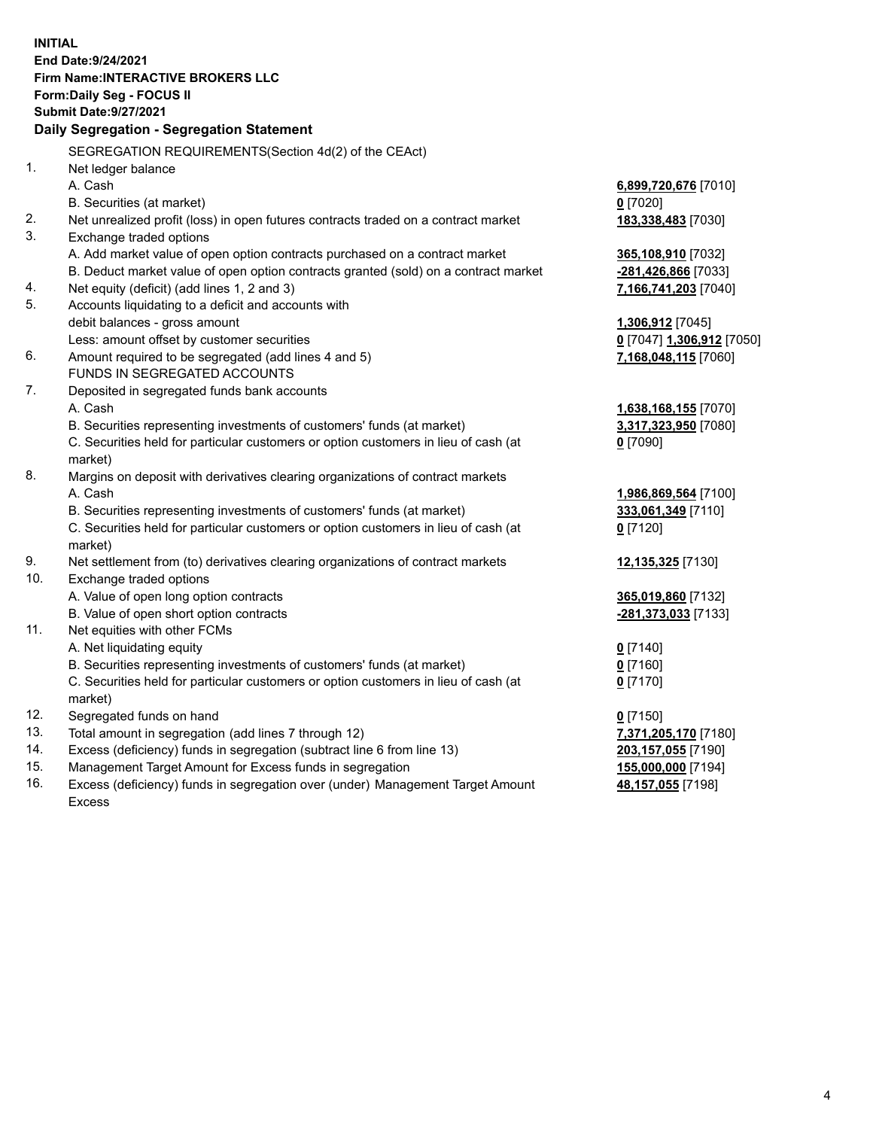**INITIAL End Date:9/24/2021 Firm Name:INTERACTIVE BROKERS LLC Form:Daily Seg - FOCUS II Submit Date:9/27/2021 Daily Segregation - Segregation Statement** SEGREGATION REQUIREMENTS(Section 4d(2) of the CEAct) 1. Net ledger balance A. Cash **6,899,720,676** [7010] B. Securities (at market) **0** [7020] 2. Net unrealized profit (loss) in open futures contracts traded on a contract market **183,338,483** [7030] 3. Exchange traded options A. Add market value of open option contracts purchased on a contract market **365,108,910** [7032] B. Deduct market value of open option contracts granted (sold) on a contract market **-281,426,866** [7033] 4. Net equity (deficit) (add lines 1, 2 and 3) **7,166,741,203** [7040] 5. Accounts liquidating to a deficit and accounts with debit balances - gross amount **1,306,912** [7045] Less: amount offset by customer securities **0** [7047] **1,306,912** [7050] 6. Amount required to be segregated (add lines 4 and 5) **7,168,048,115** [7060] FUNDS IN SEGREGATED ACCOUNTS 7. Deposited in segregated funds bank accounts A. Cash **1,638,168,155** [7070] B. Securities representing investments of customers' funds (at market) **3,317,323,950** [7080] C. Securities held for particular customers or option customers in lieu of cash (at market) **0** [7090] 8. Margins on deposit with derivatives clearing organizations of contract markets A. Cash **1,986,869,564** [7100] B. Securities representing investments of customers' funds (at market) **333,061,349** [7110] C. Securities held for particular customers or option customers in lieu of cash (at market) **0** [7120] 9. Net settlement from (to) derivatives clearing organizations of contract markets **12,135,325** [7130] 10. Exchange traded options A. Value of open long option contracts **365,019,860** [7132] B. Value of open short option contracts **-281,373,033** [7133] 11. Net equities with other FCMs A. Net liquidating equity **0** [7140] B. Securities representing investments of customers' funds (at market) **0** [7160] C. Securities held for particular customers or option customers in lieu of cash (at market) **0** [7170] 12. Segregated funds on hand **0** [7150] 13. Total amount in segregation (add lines 7 through 12) **7,371,205,170** [7180] 14. Excess (deficiency) funds in segregation (subtract line 6 from line 13) **203,157,055** [7190] 15. Management Target Amount for Excess funds in segregation **155,000,000** [7194]

16. Excess (deficiency) funds in segregation over (under) Management Target Amount Excess

**48,157,055** [7198]